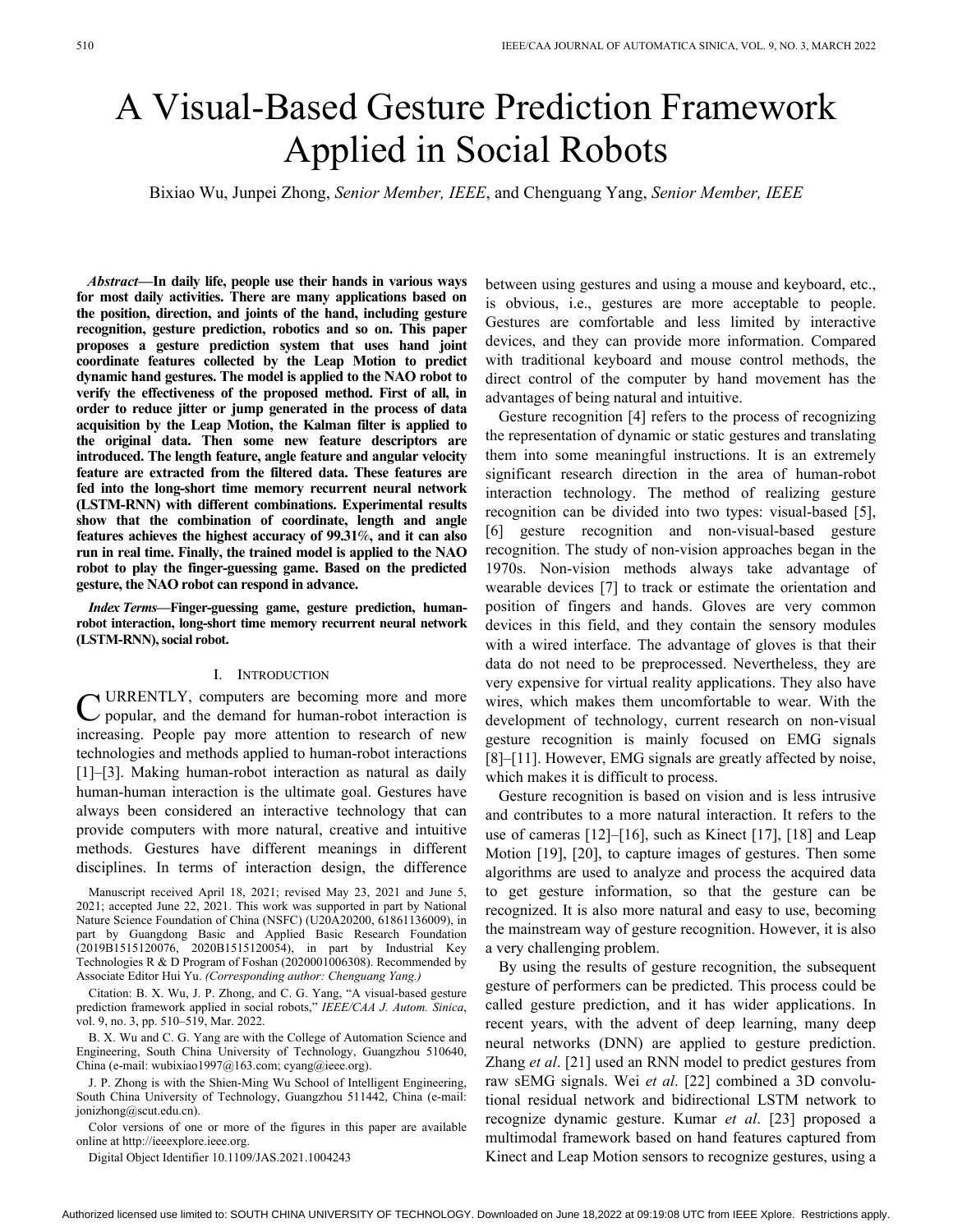# A Visual-Based Gesture Prediction Framework Applied in Social Robots

Bixiao Wu, Junpei Zhong, *Senior Member, IEEE*, and Chenguang Yang, *Senior Member, IEEE*

 *Abstract—***In daily life, people use their hands in various ways for most daily activities. There are many applications based on the position, direction, and joints of the hand, including gesture recognition, gesture prediction, robotics and so on. This paper proposes a gesture prediction system that uses hand joint coordinate features collected by the Leap Motion to predict dynamic hand gestures. The model is applied to the NAO robot to verify the effectiveness of the proposed method. First of all, in order to reduce jitter or jump generated in the process of data acquisition by the Leap Motion, the Kalman filter is applied to the original data. Then some new feature descriptors are introduced. The length feature, angle feature and angular velocity feature are extracted from the filtered data. These features are fed into the long-short time memory recurrent neural network (LSTM-RNN) with different combinations. Experimental results show that the combination of coordinate, length and angle features achieves the highest accuracy of 99.31**%**, and it can also run in real time. Finally, the trained model is applied to the NAO robot to play the finger-guessing game. Based on the predicted gesture, the NAO robot can respond in advance.**

 *Index Terms—***Finger-guessing game, gesture prediction, humanrobot interaction, long-short time memory recurrent neural network (LSTM-RNN), social robot.**

## I. Introduction

**C** URRENTLY, computers are becoming more and more popular, and the demand for human-robot interaction is popular, and the demand for human-robot interaction is increasing. People pay more attention to research of new technologies and methods applied to human-robot interactions [1]–[3]. Making human-robot interaction as natural as daily human-human interaction is the ultimate goal. Gestures have always been considered an interactive technology that can provide computers with more natural, creative and intuitive methods. Gestures have different meanings in different disciplines. In terms of interaction design, the difference

Manuscript received April 18, 2021; revised May 23, 2021 and June 5, 2021; accepted June 22, 2021. This work was supported in part by National Nature Science Foundation of China (NSFC) (U20A20200, 61861136009), in part by Guangdong Basic and Applied Basic Research Foundation (2019B1515120076, 2020B1515120054), in part by Industrial Key Technologies R & D Program of Foshan (2020001006308). Recommended by Associate Editor Hui Yu. *(Corresponding author: Chenguang Yang.)*

Citation: B. X. Wu, J. P. Zhong, and C. G. Yang, "A visual-based gesture prediction framework applied in social robots," *IEEE/CAA J. Autom. Sinica*, vol. 9, no. 3, pp. 510–519, Mar. 2022.

B. X. Wu and C. G. Yang are with the College of Automation Science and Engineering, South China University of Technology, Guangzhou 510640, China (e-mail: wubixiao1997@163.com; cyang@ieee.org).

J. P. Zhong is with the Shien-Ming Wu School of Intelligent Engineering, South China University of Technology, Guangzhou 511442, China (e-mail: jonizhong@scut.edu.cn).

Color versions of one or more of the figures in this paper are available online at http://ieeexplore.ieee.org.

Digital Object Identifier 10.1109/JAS.2021.1004243

between using gestures and using a mouse and keyboard, etc., is obvious, i.e., gestures are more acceptable to people. Gestures are comfortable and less limited by interactive devices, and they can provide more information. Compared with traditional keyboard and mouse control methods, the direct control of the computer by hand movement has the advantages of being natural and intuitive.

Gesture recognition [4] refers to the process of recognizing the representation of dynamic or static gestures and translating them into some meaningful instructions. It is an extremely significant research direction in the area of human-robot interaction technology. The method of realizing gesture recognition can be divided into two types: visual-based [5], [6] gesture recognition and non-visual-based gesture recognition. The study of non-vision approaches began in the 1970s. Non-vision methods always take advantage of wearable devices [7] to track or estimate the orientation and position of fingers and hands. Gloves are very common devices in this field, and they contain the sensory modules with a wired interface. The advantage of gloves is that their data do not need to be preprocessed. Nevertheless, they are very expensive for virtual reality applications. They also have wires, which makes them uncomfortable to wear. With the development of technology, current research on non-visual gesture recognition is mainly focused on EMG signals [8]–[11]. However, EMG signals are greatly affected by noise, which makes it is difficult to process.

Gesture recognition is based on vision and is less intrusive and contributes to a more natural interaction. It refers to the use of cameras [12]–[16], such as Kinect [17], [18] and Leap Motion [19], [20], to capture images of gestures. Then some algorithms are used to analyze and process the acquired data to get gesture information, so that the gesture can be recognized. It is also more natural and easy to use, becoming the mainstream way of gesture recognition. However, it is also a very challenging problem.

By using the results of gesture recognition, the subsequent gesture of performers can be predicted. This process could be called gesture prediction, and it has wider applications. In recent years, with the advent of deep learning, many deep neural networks (DNN) are applied to gesture prediction. Zhang *et al*. [21] used an RNN model to predict gestures from raw sEMG signals. Wei *et al*. [22] combined a 3D convolutional residual network and bidirectional LSTM network to recognize dynamic gesture. Kumar *et al*. [23] proposed a multimodal framework based on hand features captured from Kinect and Leap Motion sensors to recognize gestures, using a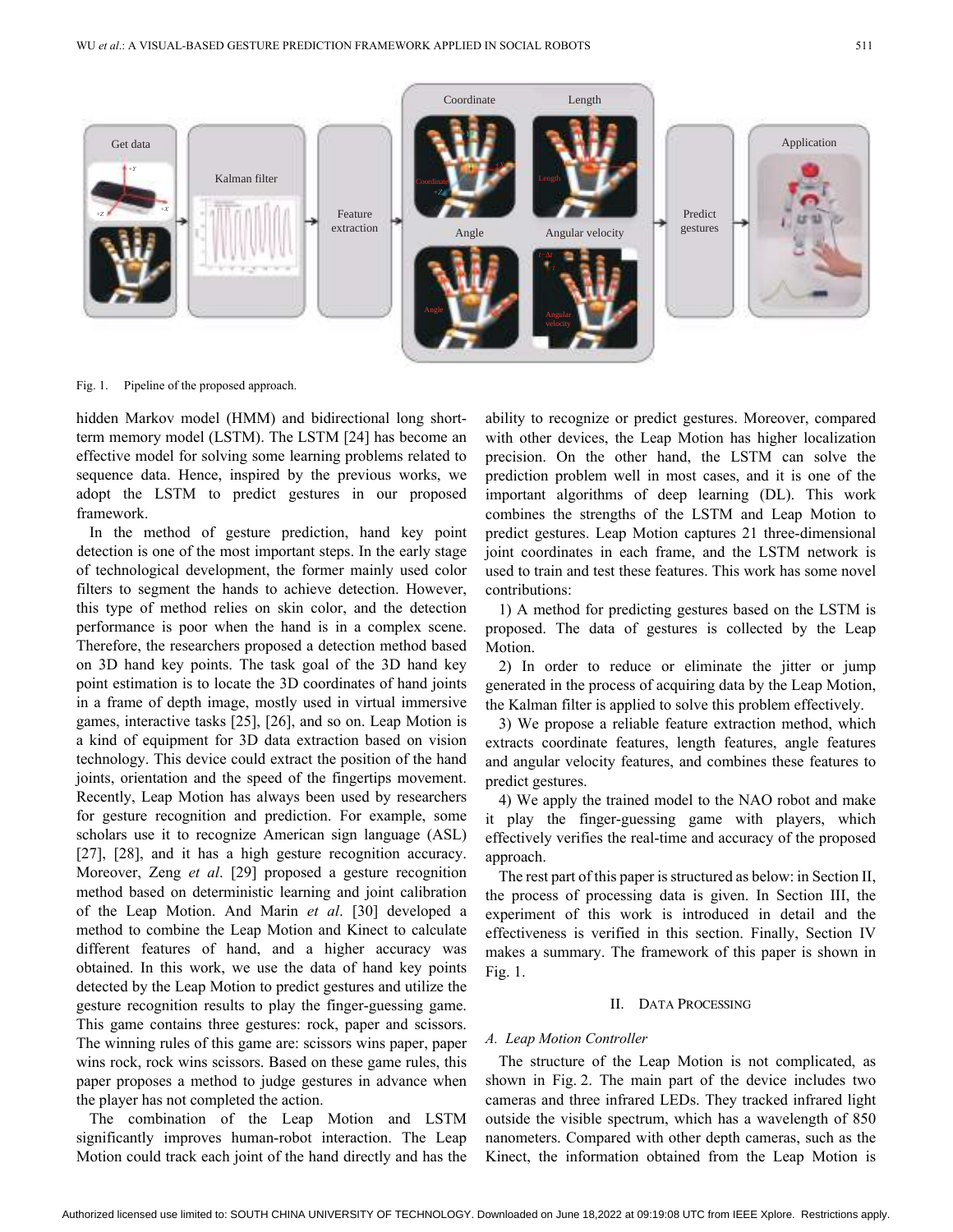

Fig. 1. Pipeline of the proposed approach.

hidden Markov model (HMM) and bidirectional long shortterm memory model (LSTM). The LSTM [24] has become an effective model for solving some learning problems related to sequence data. Hence, inspired by the previous works, we adopt the LSTM to predict gestures in our proposed framework.

In the method of gesture prediction, hand key point detection is one of the most important steps. In the early stage of technological development, the former mainly used color filters to segment the hands to achieve detection. However, this type of method relies on skin color, and the detection performance is poor when the hand is in a complex scene. Therefore, the researchers proposed a detection method based on 3D hand key points. The task goal of the 3D hand key point estimation is to locate the 3D coordinates of hand joints in a frame of depth image, mostly used in virtual immersive games, interactive tasks [25], [26], and so on. Leap Motion is a kind of equipment for 3D data extraction based on vision technology. This device could extract the position of the hand joints, orientation and the speed of the fingertips movement. Recently, Leap Motion has always been used by researchers for gesture recognition and prediction. For example, some scholars use it to recognize American sign language (ASL) [27], [28], and it has a high gesture recognition accuracy. Moreover, Zeng *et al*. [29] proposed a gesture recognition method based on deterministic learning and joint calibration of the Leap Motion. And Marin *et al*. [30] developed a method to combine the Leap Motion and Kinect to calculate different features of hand, and a higher accuracy was obtained. In this work, we use the data of hand key points detected by the Leap Motion to predict gestures and utilize the gesture recognition results to play the finger-guessing game. This game contains three gestures: rock, paper and scissors. The winning rules of this game are: scissors wins paper, paper wins rock, rock wins scissors. Based on these game rules, this paper proposes a method to judge gestures in advance when the player has not completed the action.

The combination of the Leap Motion and LSTM significantly improves human-robot interaction. The Leap Motion could track each joint of the hand directly and has the

ability to recognize or predict gestures. Moreover, compared with other devices, the Leap Motion has higher localization precision. On the other hand, the LSTM can solve the prediction problem well in most cases, and it is one of the important algorithms of deep learning (DL). This work combines the strengths of the LSTM and Leap Motion to predict gestures. Leap Motion captures 21 three-dimensional joint coordinates in each frame, and the LSTM network is used to train and test these features. This work has some novel contributions:

1) A method for predicting gestures based on the LSTM is proposed. The data of gestures is collected by the Leap Motion.

2) In order to reduce or eliminate the jitter or jump generated in the process of acquiring data by the Leap Motion, the Kalman filter is applied to solve this problem effectively.

3) We propose a reliable feature extraction method, which extracts coordinate features, length features, angle features and angular velocity features, and combines these features to predict gestures.

4) We apply the trained model to the NAO robot and make it play the finger-guessing game with players, which effectively verifies the real-time and accuracy of the proposed approach.

The rest part of this paper is structured as below: in Section II, the process of processing data is given. In Section III, the experiment of this work is introduced in detail and the effectiveness is verified in this section. Finally, Section IV makes a summary. The framework of this paper is shown in Fig. 1.

#### II. DATA PROCESSING

## *A. Leap Motion Controller*

The structure of the Leap Motion is not complicated, as shown in Fig. 2. The main part of the device includes two cameras and three infrared LEDs. They tracked infrared light outside the visible spectrum, which has a wavelength of 850 nanometers. Compared with other depth cameras, such as the Kinect, the information obtained from the Leap Motion is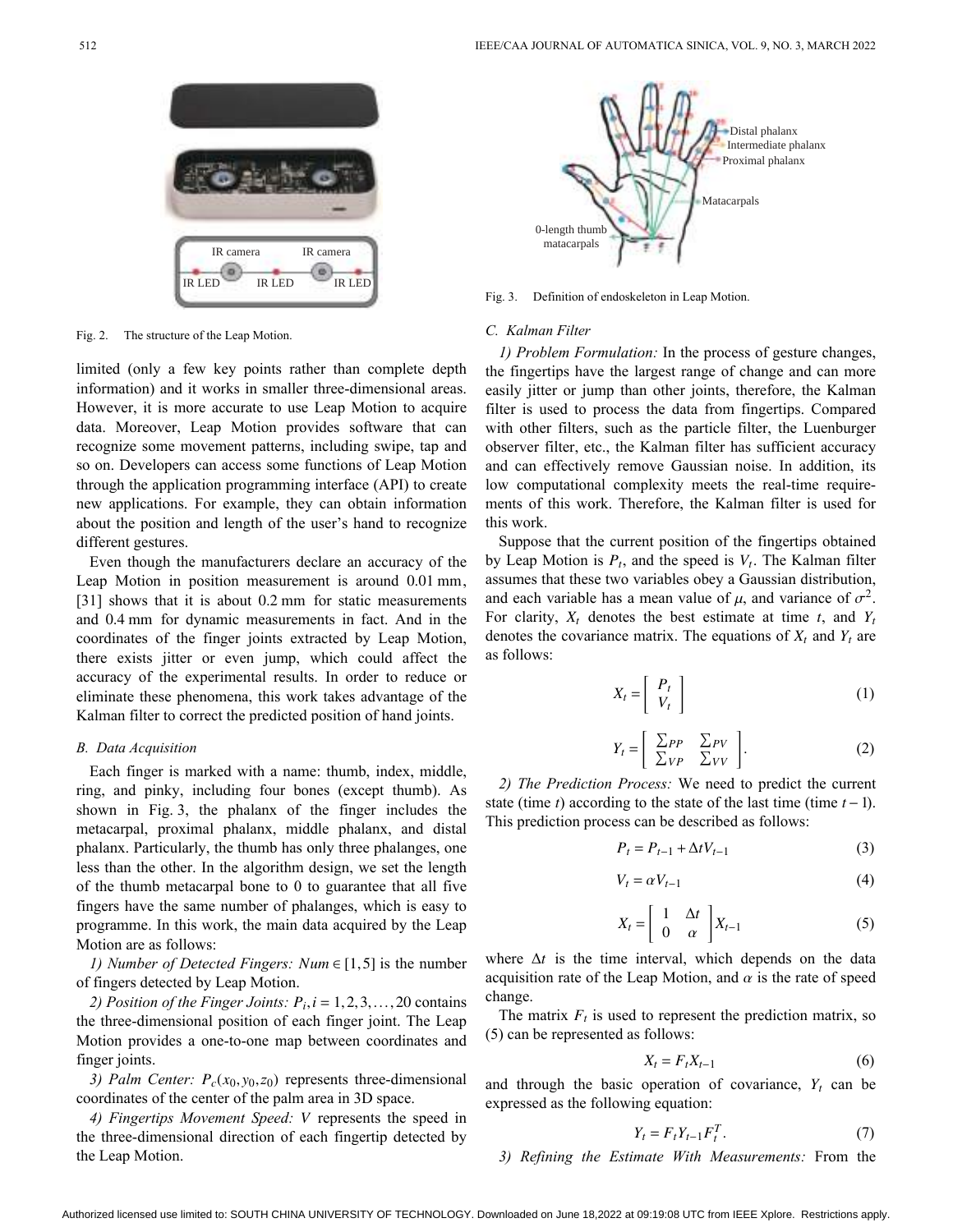

Fig. 2. The structure of the Leap Motion.

limited (only a few key points rather than complete depth information) and it works in smaller three-dimensional areas. However, it is more accurate to use Leap Motion to acquire data. Moreover, Leap Motion provides software that can recognize some movement patterns, including swipe, tap and so on. Developers can access some functions of Leap Motion through the application programming interface (API) to create new applications. For example, they can obtain information about the position and length of the user's hand to recognize different gestures.

Leap Motion in position measurement is around 0.01 mm, [31] shows that it is about 0.2 mm for static measurements and 0.4 mm for dynamic measurements in fact. And in the Even though the manufacturers declare an accuracy of the coordinates of the finger joints extracted by Leap Motion, there exists jitter or even jump, which could affect the accuracy of the experimental results. In order to reduce or eliminate these phenomena, this work takes advantage of the Kalman filter to correct the predicted position of hand joints.

#### *B. Data Acquisition*

Each finger is marked with a name: thumb, index, middle, ring, and pinky, including four bones (except thumb). As shown in Fig. 3, the phalanx of the finger includes the metacarpal, proximal phalanx, middle phalanx, and distal phalanx. Particularly, the thumb has only three phalanges, one less than the other. In the algorithm design, we set the length of the thumb metacarpal bone to 0 to guarantee that all five fingers have the same number of phalanges, which is easy to programme. In this work, the main data acquired by the Leap Motion are as follows:

*1) Number of Detected Fingers: Num* ∈ [1,5] is the number of fingers detected by Leap Motion.

2) Position of the Finger Joints:  $P_i$ ,  $i = 1, 2, 3, \ldots, 20$  contains the three-dimensional position of each finger joint. The Leap Motion provides a one-to-one map between coordinates and finger joints.

3) Palm Center:  $P_c(x_0, y_0, z_0)$  represents three-dimensional coordinates of the center of the palm area in 3D space.

*4) Fingertips Movement Speed: V* represents the speed in the three-dimensional direction of each fingertip detected by the Leap Motion.



Fig. 3. Definition of endoskeleton in Leap Motion.

### *C. Kalman Filter*

*1) Problem Formulation:* In the process of gesture changes, the fingertips have the largest range of change and can more easily jitter or jump than other joints, therefore, the Kalman filter is used to process the data from fingertips. Compared with other filters, such as the particle filter, the Luenburger observer filter, etc., the Kalman filter has sufficient accuracy and can effectively remove Gaussian noise. In addition, its low computational complexity meets the real-time requirements of this work. Therefore, the Kalman filter is used for this work.

by Leap Motion is  $P_t$ , and the speed is  $V_t$ . The Kalman filter and each variable has a mean value of  $\mu$ , and variance of  $\sigma^2$ . For clarity,  $X_t$  denotes the best estimate at time  $t$ , and  $Y_t$ denotes the covariance matrix. The equations of  $X_t$  and  $Y_t$  are Suppose that the current position of the fingertips obtained assumes that these two variables obey a Gaussian distribution, as follows:

$$
X_t = \left[ \begin{array}{c} P_t \\ V_t \end{array} \right] \tag{1}
$$

$$
Y_t = \left[ \begin{array}{cc} \sum_{PP} & \sum_{PV} \\ \sum_{VP} & \sum_{VV} \end{array} \right].
$$
 (2)

state (time *t*) according to the state of the last time (time  $t-1$ ). *2) The Prediction Process:* We need to predict the current This prediction process can be described as follows:

$$
P_t = P_{t-1} + \Delta t V_{t-1}
$$
 (3)

$$
V_t = \alpha V_{t-1} \tag{4}
$$

$$
X_t = \left[ \begin{array}{cc} 1 & \Delta t \\ 0 & \alpha \end{array} \right] X_{t-1} \tag{5}
$$

where  $\Delta t$  is the time interval, which depends on the data acquisition rate of the Leap Motion, and  $\alpha$  is the rate of speed change.

The matrix  $F_t$  is used to represent the prediction matrix, so (5) can be represented as follows:

$$
X_t = F_t X_{t-1} \tag{6}
$$

and through the basic operation of covariance,  $Y_t$  can be expressed as the following equation:

$$
Y_t = F_t Y_{t-1} F_t^T. \tag{7}
$$

*3) Refining the Estimate With Measurements:* From the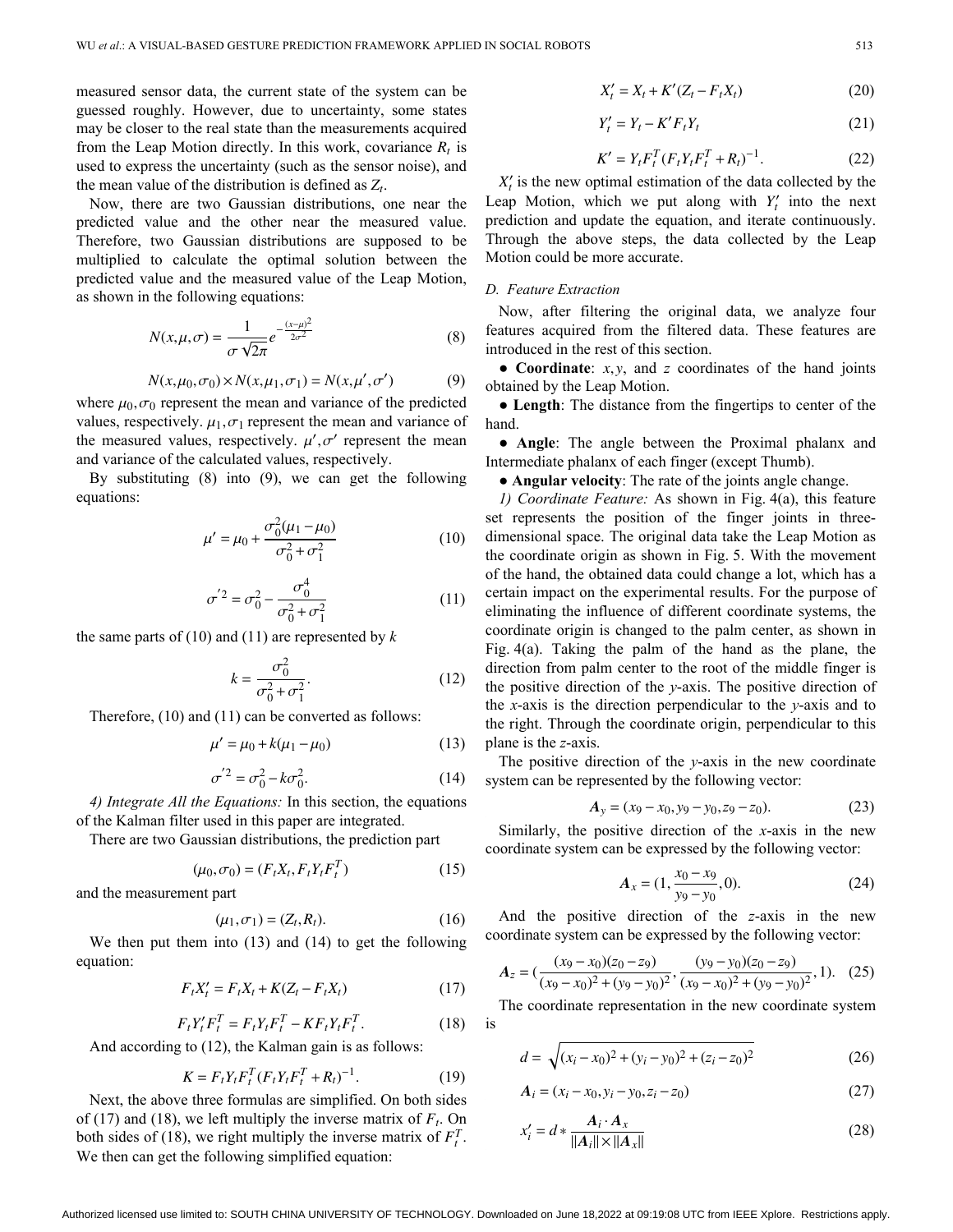from the Leap Motion directly. In this work, covariance  $R_t$  is the mean value of the distribution is defined as  $Z_t$ . measured sensor data, the current state of the system can be guessed roughly. However, due to uncertainty, some states may be closer to the real state than the measurements acquired used to express the uncertainty (such as the sensor noise), and

Now, there are two Gaussian distributions, one near the predicted value and the other near the measured value. Therefore, two Gaussian distributions are supposed to be multiplied to calculate the optimal solution between the predicted value and the measured value of the Leap Motion, as shown in the following equations:

$$
N(x,\mu,\sigma) = \frac{1}{\sigma\sqrt{2\pi}}e^{-\frac{(x-\mu)^2}{2\sigma^2}}
$$
(8)

$$
N(x, \mu_0, \sigma_0) \times N(x, \mu_1, \sigma_1) = N(x, \mu', \sigma')
$$
 (9)

where  $\mu_0$ ,  $\sigma_0$  represent the mean and variance of the predicted values, respectively.  $\mu_1, \sigma_1$  represent the mean and variance of the measured values, respectively.  $\mu', \sigma'$  represent the mean and variance of the calculated values, respectively.

By substituting (8) into (9), we can get the following equations:

$$
\mu' = \mu_0 + \frac{\sigma_0^2 (\mu_1 - \mu_0)}{\sigma_0^2 + \sigma_1^2}
$$
 (10)

$$
\sigma^{'2} = \sigma_0^2 - \frac{\sigma_0^4}{\sigma_0^2 + \sigma_1^2}
$$
 (11)

the same parts of (10) and (11) are represented by *k*

$$
k = \frac{\sigma_0^2}{\sigma_0^2 + \sigma_1^2}.
$$
 (12)

Therefore, (10) and (11) can be converted as follows:

$$
\mu' = \mu_0 + k(\mu_1 - \mu_0) \tag{13}
$$

$$
\sigma'^2 = \sigma_0^2 - k\sigma_0^2. \tag{14}
$$

*4) Integrate All the Equations:* In this section, the equations of the Kalman filter used in this paper are integrated.

There are two Gaussian distributions, the prediction part

$$
(\mu_0, \sigma_0) = (F_t X_t, F_t Y_t F_t^T)
$$
\n(15)

and the measurement part

$$
(\mu_1, \sigma_1) = (Z_t, R_t). \tag{16}
$$

We then put them into (13) and (14) to get the following equation:

$$
F_t X_t' = F_t X_t + K(Z_t - F_t X_t)
$$
 (17)

$$
F_t Y_t' F_t^T = F_t Y_t F_t^T - K F_t Y_t F_t^T. \tag{18}
$$

And according to (12), the Kalman gain is as follows:

$$
K = F_t Y_t F_t^T (F_t Y_t F_t^T + R_t)^{-1}.
$$
 (19)

of (17) and (18), we left multiply the inverse matrix of  $F_t$ . On both sides of (18), we right multiply the inverse matrix of  $F_t^T$ . Next, the above three formulas are simplified. On both sides We then can get the following simplified equation:

$$
X'_{t} = X_{t} + K'(Z_{t} - F_{t}X_{t})
$$
\n(20)

$$
Y_t' = Y_t - K' F_t Y_t \tag{21}
$$

$$
K' = Y_t F_t^T (F_t Y_t F_t^T + R_t)^{-1}.
$$
 (22)

 $X'_t$  is the new optimal estimation of the data collected by the Leap Motion, which we put along with  $Y_t$  into the next prediction and update the equation, and iterate continuously. Through the above steps, the data collected by the Leap Motion could be more accurate.

## *D. Feature Extraction*

Now, after filtering the original data, we analyze four features acquired from the filtered data. These features are introduced in the rest of this section.

● **Coordinate**: *x*, *y* , and *z* coordinates of the hand joints obtained by the Leap Motion.

● **Length**: The distance from the fingertips to center of the hand.

● **Angle**: The angle between the Proximal phalanx and Intermediate phalanx of each finger (except Thumb).

● **Angular velocity**: The rate of the joints angle change.

*1) Coordinate Feature:* As shown in Fig. 4(a), this feature set represents the position of the finger joints in threedimensional space. The original data take the Leap Motion as the coordinate origin as shown in Fig. 5. With the movement of the hand, the obtained data could change a lot, which has a certain impact on the experimental results. For the purpose of eliminating the influence of different coordinate systems, the coordinate origin is changed to the palm center, as shown in Fig. 4(a). Taking the palm of the hand as the plane, the direction from palm center to the root of the middle finger is the positive direction of the *y*-axis. The positive direction of the *x*-axis is the direction perpendicular to the *y*-axis and to the right. Through the coordinate origin, perpendicular to this plane is the *z*-axis.

The positive direction of the *y*-axis in the new coordinate system can be represented by the following vector:

$$
A_y = (x_9 - x_0, y_9 - y_0, z_9 - z_0). \tag{23}
$$

Similarly, the positive direction of the *x*-axis in the new coordinate system can be expressed by the following vector:

$$
A_x = (1, \frac{x_0 - x_9}{y_9 - y_0}, 0). \tag{24}
$$

And the positive direction of the *z*-axis in the new coordinate system can be expressed by the following vector:

$$
A_z = \left(\frac{(x_9 - x_0)(z_0 - z_9)}{(x_9 - x_0)^2 + (y_9 - y_0)^2}, \frac{(y_9 - y_0)(z_0 - z_9)}{(x_9 - x_0)^2 + (y_9 - y_0)^2}, 1\right). (25)
$$

The coordinate representation in the new coordinate system is

$$
d = \sqrt{(x_i - x_0)^2 + (y_i - y_0)^2 + (z_i - z_0)^2}
$$
 (26)

$$
A_i = (x_i - x_0, y_i - y_0, z_i - z_0)
$$
\n(27)

$$
x_i' = d * \frac{A_i \cdot A_x}{\|A_i\| \times \|A_x\|}
$$
 (28)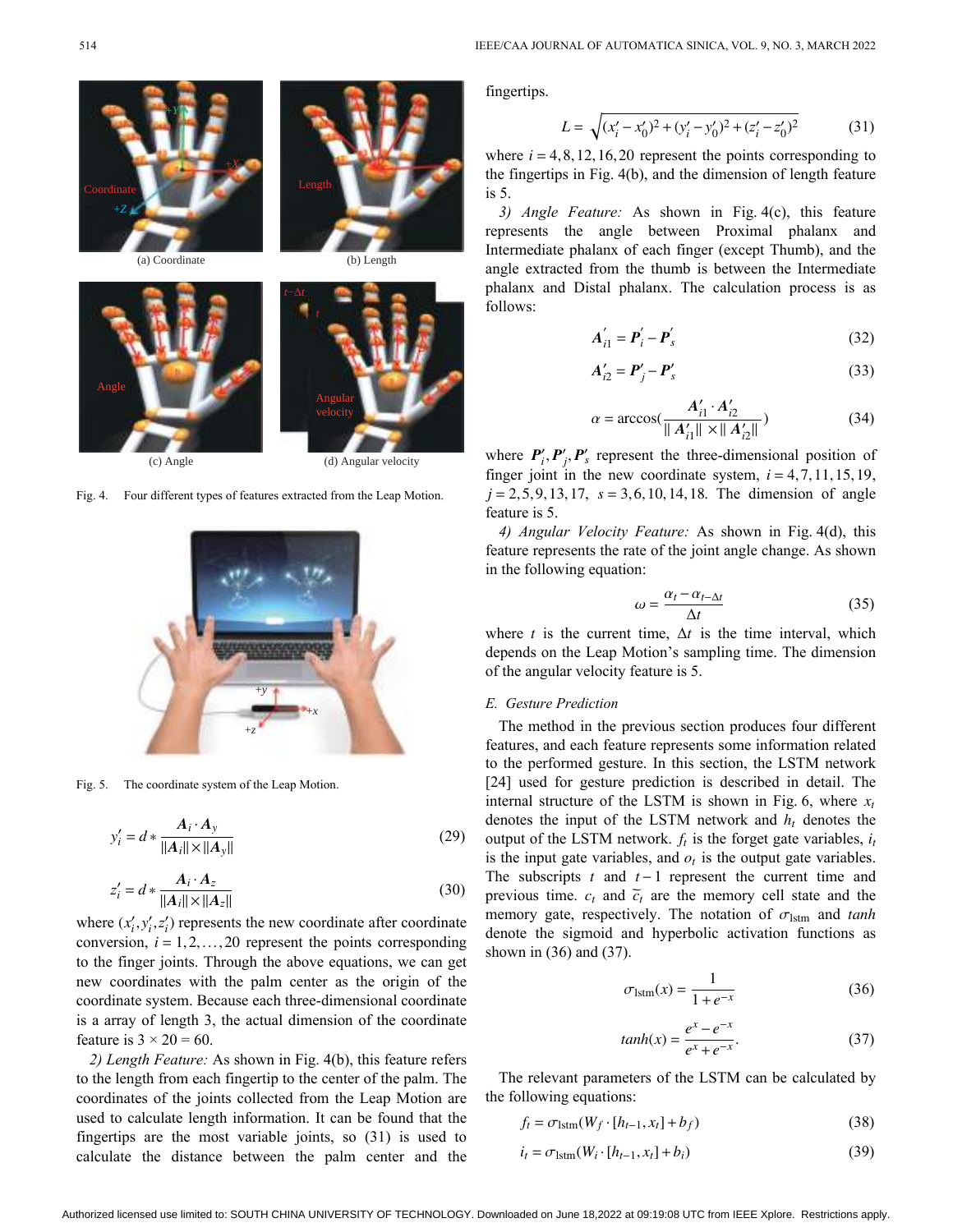







(c) Angle (d) Angular velocity

Fig. 4. Four different types of features extracted from the Leap Motion.



Fig. 5. The coordinate system of the Leap Motion.

$$
y_i' = d * \frac{A_i \cdot A_y}{\|A_i\| \times \|A_y\|} \tag{29}
$$

$$
z_i' = d * \frac{A_i \cdot A_z}{\|A_i\| \times \|A_z\|} \tag{30}
$$

where  $(x'_i, y'_i, z'_i)$  represents the new coordinate after coordinate conversion,  $i = 1, 2, \ldots, 20$  represent the points corresponding to the finger joints. Through the above equations, we can get new coordinates with the palm center as the origin of the coordinate system. Because each three-dimensional coordinate is a array of length 3, the actual dimension of the coordinate feature is  $3 \times 20 = 60$ .

*2) Length Feature:* As shown in Fig. 4(b), this feature refers to the length from each fingertip to the center of the palm. The coordinates of the joints collected from the Leap Motion are used to calculate length information. It can be found that the fingertips are the most variable joints, so (31) is used to calculate the distance between the palm center and the

fingertips.

$$
L = \sqrt{(x'_i - x'_0)^2 + (y'_i - y'_0)^2 + (z'_i - z'_0)^2}
$$
 (31)

where  $i = 4, 8, 12, 16, 20$  represent the points corresponding to the fingertips in Fig. 4(b), and the dimension of length feature is 5.

*3) Angle Feature:* As shown in Fig. 4(c), this feature represents the angle between Proximal phalanx and Intermediate phalanx of each finger (except Thumb), and the angle extracted from the thumb is between the Intermediate phalanx and Distal phalanx. The calculation process is as follows:

$$
\boldsymbol{A}_{i1}^{\prime} = \boldsymbol{P}_i^{\prime} - \boldsymbol{P}_s^{\prime}
$$
 (32)

$$
\mathbf{A}'_{i2} = \mathbf{P}'_j - \mathbf{P}'_s \tag{33}
$$

$$
\alpha = \arccos(\frac{A'_{i1} \cdot A'_{i2}}{\|A'_{i1}\| \times \|A'_{i2}\|})
$$
 (34)

where  $P'_i, P'_j, P'_s$  represent the three-dimensional position of finger joint in the new coordinate system,  $i = 4, 7, 11, 15, 19$ ,  $j = 2, 5, 9, 13, 17, s = 3, 6, 10, 14, 18.$  The dimension of angle feature is 5.

*4) Angular Velocity Feature:* As shown in Fig. 4(d), this feature represents the rate of the joint angle change. As shown in the following equation:

$$
\omega = \frac{\alpha_t - \alpha_{t-\Delta t}}{\Delta t} \tag{35}
$$

where *t* is the current time,  $\Delta t$  is the time interval, which depends on the Leap Motion's sampling time. The dimension of the angular velocity feature is 5.

# *E. Gesture Prediction*

internal structure of the LSTM is shown in Fig. 6, where  $x_t$ denotes the input of the LSTM network and  $h_t$  denotes the output of the LSTM network.  $f_t$  is the forget gate variables,  $i_t$ is the input gate variables, and  $o_t$  is the output gate variables. The subscripts  $t$  and  $t-1$  represent the current time and previous time.  $c_t$  and  $\tilde{c}_t$  are the memory cell state and the memory gate, respectively. The notation of  $\sigma_{\text{lstm}}$  and tanh The method in the previous section produces four different features, and each feature represents some information related to the performed gesture. In this section, the LSTM network [24] used for gesture prediction is described in detail. The denote the sigmoid and hyperbolic activation functions as shown in (36) and (37).

$$
\sigma_{\text{lstm}}(x) = \frac{1}{1 + e^{-x}}\tag{36}
$$

$$
tanh(x) = \frac{e^x - e^{-x}}{e^x + e^{-x}}.
$$
 (37)

The relevant parameters of the LSTM can be calculated by the following equations:

$$
f_t = \sigma_{\text{lstm}}(W_f \cdot [h_{t-1}, x_t] + b_f)
$$
\n(38)

$$
i_t = \sigma_{\text{lstm}}(W_i \cdot [h_{t-1}, x_t] + b_i)
$$
\n(39)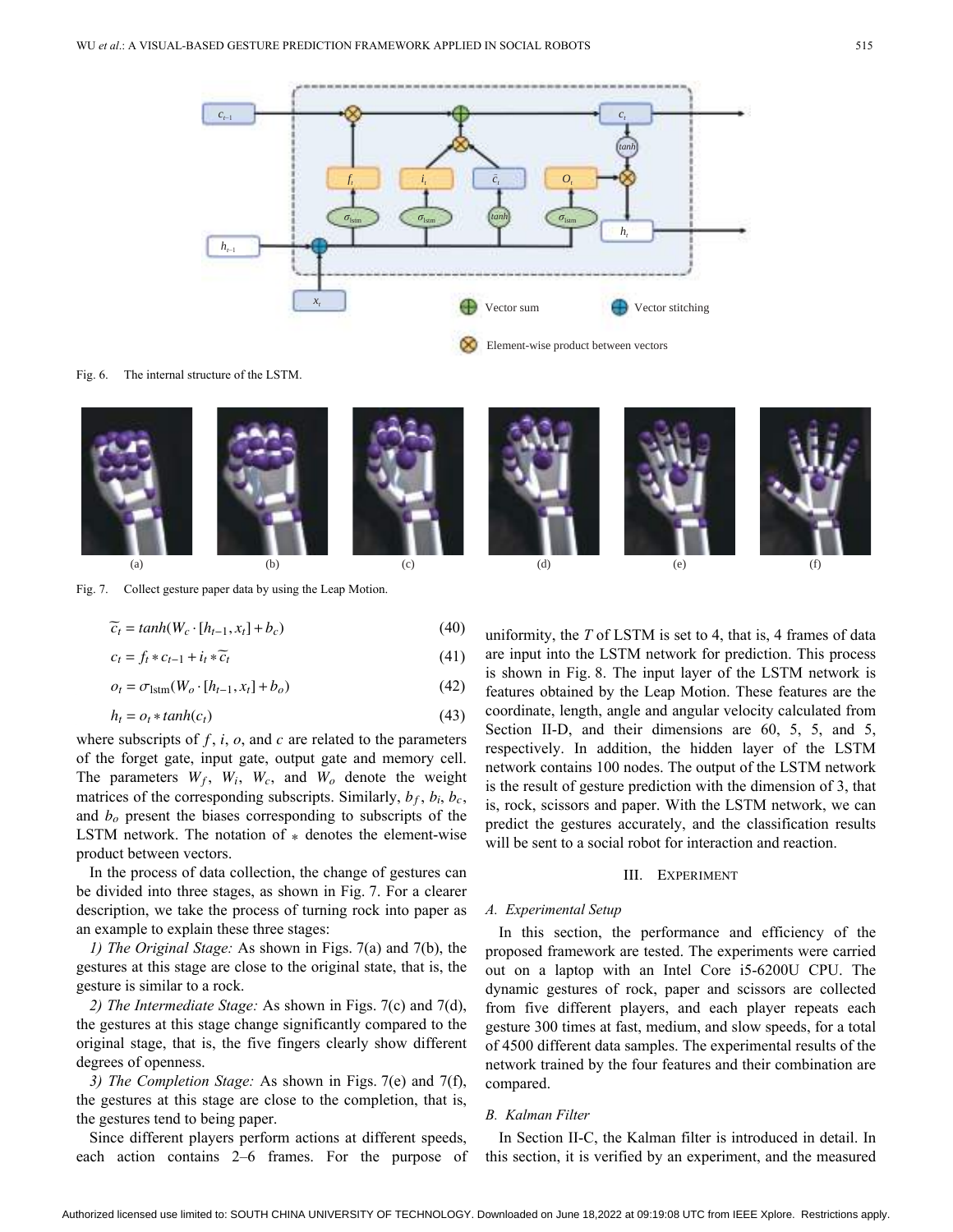

Fig. 6. The internal structure of the LSTM.



Fig. 7. Collect gesture paper data by using the Leap Motion.

$$
\widetilde{c}_t = \tanh(W_c \cdot [h_{t-1}, x_t] + b_c) \tag{40}
$$

$$
c_t = f_t * c_{t-1} + i_t * \widetilde{c}_t \tag{41}
$$

$$
o_t = \sigma_{\text{lstm}}(W_o \cdot [h_{t-1}, x_t] + b_o) \tag{42}
$$

$$
h_t = o_t * tanh(c_t) \tag{43}
$$

where subscripts of  $f$ ,  $i$ ,  $o$ , and  $c$  are related to the parameters The parameters  $W_f$ ,  $W_i$ ,  $W_c$ , and  $W_o$  denote the weight matrices of the corresponding subscripts. Similarly,  $b_f$ ,  $b_i$ ,  $b_c$ , and  $b<sub>o</sub>$  present the biases corresponding to subscripts of the LSTM network. The notation of  $*$  denotes the element-wise of the forget gate, input gate, output gate and memory cell. product between vectors.

In the process of data collection, the change of gestures can be divided into three stages, as shown in Fig. 7. For a clearer description, we take the process of turning rock into paper as an example to explain these three stages:

*1) The Original Stage:* As shown in Figs. 7(a) and 7(b), the gestures at this stage are close to the original state, that is, the gesture is similar to a rock.

*2) The Intermediate Stage:* As shown in Figs. 7(c) and 7(d), the gestures at this stage change significantly compared to the original stage, that is, the five fingers clearly show different degrees of openness.

*3) The Completion Stage:* As shown in Figs. 7(e) and 7(f), the gestures at this stage are close to the completion, that is, the gestures tend to being paper.

Since different players perform actions at different speeds, each action contains 2–6 frames. For the purpose of uniformity, the *T* of LSTM is set to 4, that is, 4 frames of data are input into the LSTM network for prediction. This process is shown in Fig. 8. The input layer of the LSTM network is features obtained by the Leap Motion. These features are the coordinate, length, angle and angular velocity calculated from Section II-D, and their dimensions are 60, 5, 5, and 5, respectively. In addition, the hidden layer of the LSTM network contains 100 nodes. The output of the LSTM network is the result of gesture prediction with the dimension of 3, that is, rock, scissors and paper. With the LSTM network, we can predict the gestures accurately, and the classification results will be sent to a social robot for interaction and reaction.

# III. Experiment

#### *A. Experimental Setup*

In this section, the performance and efficiency of the proposed framework are tested. The experiments were carried out on a laptop with an Intel Core i5-6200U CPU. The dynamic gestures of rock, paper and scissors are collected from five different players, and each player repeats each gesture 300 times at fast, medium, and slow speeds, for a total of 4500 different data samples. The experimental results of the network trained by the four features and their combination are compared.

## *B. Kalman Filter*

In Section II-C, the Kalman filter is introduced in detail. In this section, it is verified by an experiment, and the measured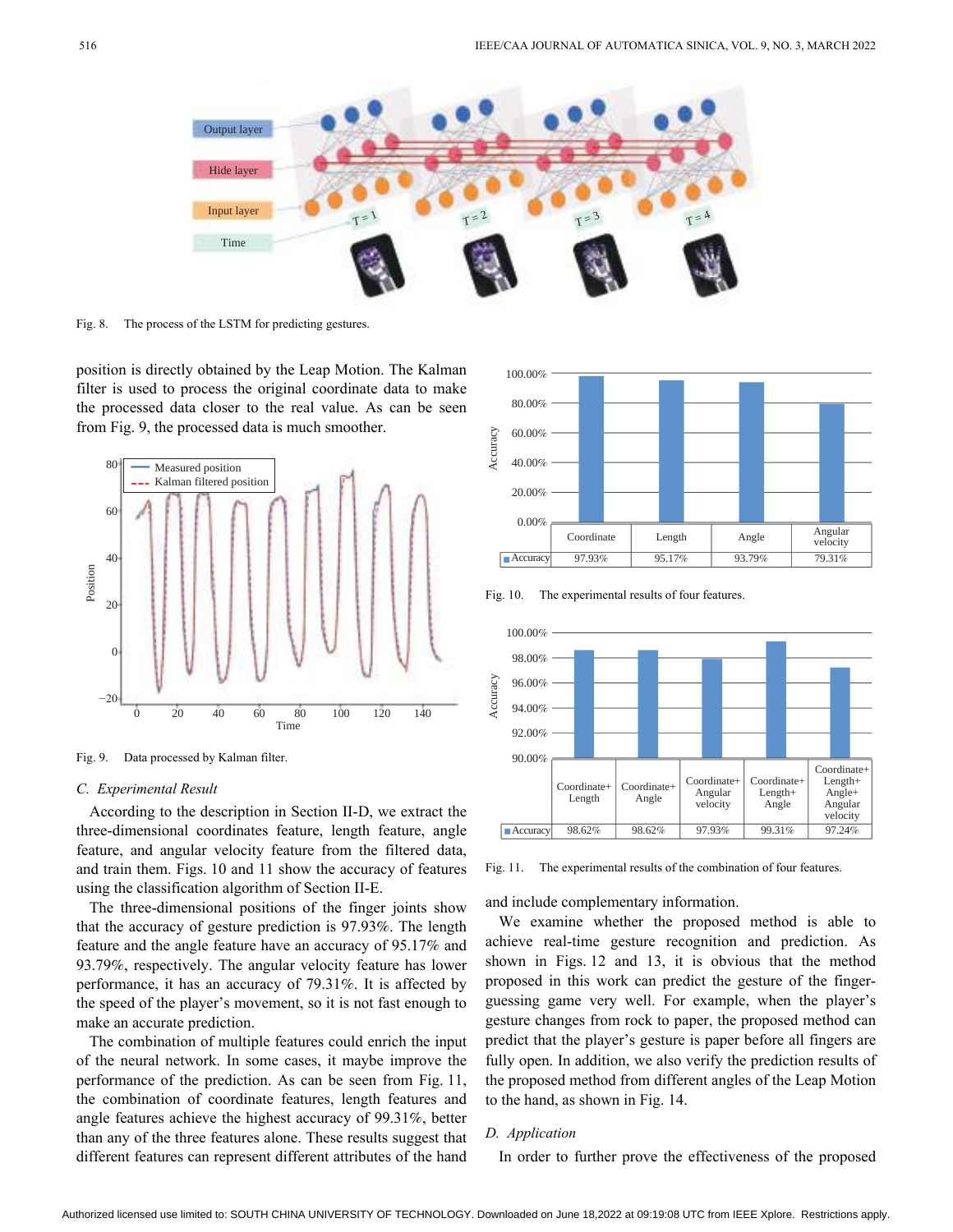

Fig. 8. The process of the LSTM for predicting gestures.

position is directly obtained by the Leap Motion. The Kalman filter is used to process the original coordinate data to make the processed data closer to the real value. As can be seen from Fig. 9, the processed data is much smoother.



Fig. 9. Data processed by Kalman filter.

## *C. Experimental Result*

According to the description in Section II-D, we extract the three-dimensional coordinates feature, length feature, angle feature, and angular velocity feature from the filtered data, and train them. Figs. 10 and 11 show the accuracy of features using the classification algorithm of Section II-E.

The three-dimensional positions of the finger joints show that the accuracy of gesture prediction is 97.93%. The length feature and the angle feature have an accuracy of 95.17% and 93.79%, respectively. The angular velocity feature has lower performance, it has an accuracy of 79.31%. It is affected by the speed of the player's movement, so it is not fast enough to make an accurate prediction.

The combination of multiple features could enrich the input of the neural network. In some cases, it maybe improve the performance of the prediction. As can be seen from Fig. 11, the combination of coordinate features, length features and angle features achieve the highest accuracy of 99.31%, better than any of the three features alone. These results suggest that different features can represent different attributes of the hand



Fig. 10. The experimental results of four features.



Fig. 11. The experimental results of the combination of four features.

and include complementary information.

We examine whether the proposed method is able to achieve real-time gesture recognition and prediction. As shown in Figs. 12 and 13, it is obvious that the method proposed in this work can predict the gesture of the fingerguessing game very well. For example, when the player's gesture changes from rock to paper, the proposed method can predict that the player's gesture is paper before all fingers are fully open. In addition, we also verify the prediction results of the proposed method from different angles of the Leap Motion to the hand, as shown in Fig. 14.

# *D. Application*

In order to further prove the effectiveness of the proposed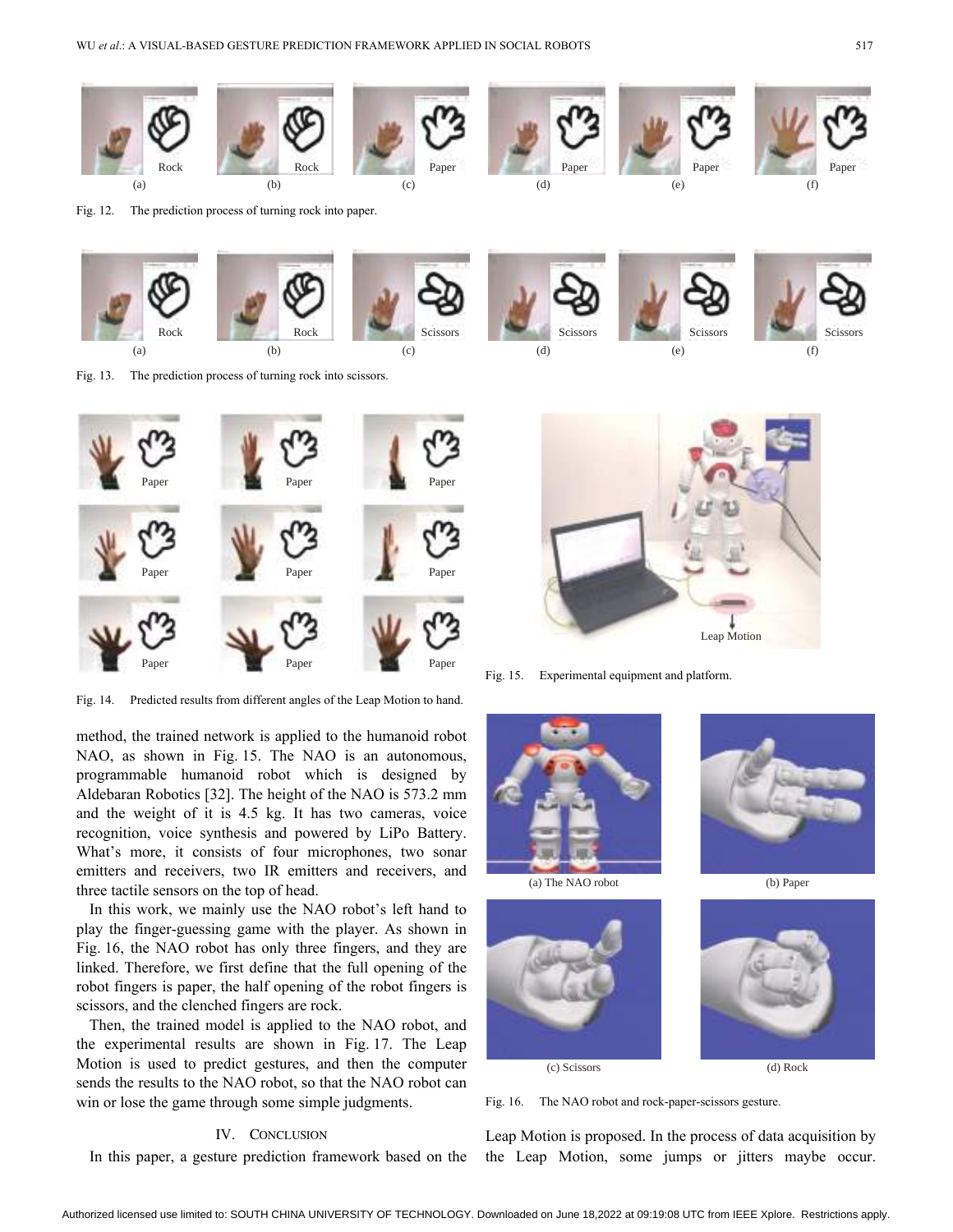

Fig. 12. The prediction process of turning rock into paper.



Fig. 13. The prediction process of turning rock into scissors.



Fig. 14. Predicted results from different angles of the Leap Motion to hand.

method, the trained network is applied to the humanoid robot NAO, as shown in Fig. 15. The NAO is an autonomous, programmable humanoid robot which is designed by Aldebaran Robotics [32]. The height of the NAO is 573.2 mm and the weight of it is 4.5 kg. It has two cameras, voice recognition, voice synthesis and powered by LiPo Battery. What's more, it consists of four microphones, two sonar emitters and receivers, two IR emitters and receivers, and three tactile sensors on the top of head.

In this work, we mainly use the NAO robot's left hand to play the finger-guessing game with the player. As shown in Fig. 16, the NAO robot has only three fingers, and they are linked. Therefore, we first define that the full opening of the robot fingers is paper, the half opening of the robot fingers is scissors, and the clenched fingers are rock.

Then, the trained model is applied to the NAO robot, and the experimental results are shown in Fig. 17. The Leap Motion is used to predict gestures, and then the computer sends the results to the NAO robot, so that the NAO robot can win or lose the game through some simple judgments.

# IV. CONCLUSION

In this paper, a gesture prediction framework based on the





Leap Motion

Fig. 15. Experimental equipment and platform.







Fig. 16. The NAO robot and rock-paper-scissors gesture.

Leap Motion is proposed. In the process of data acquisition by the Leap Motion, some jumps or jitters maybe occur.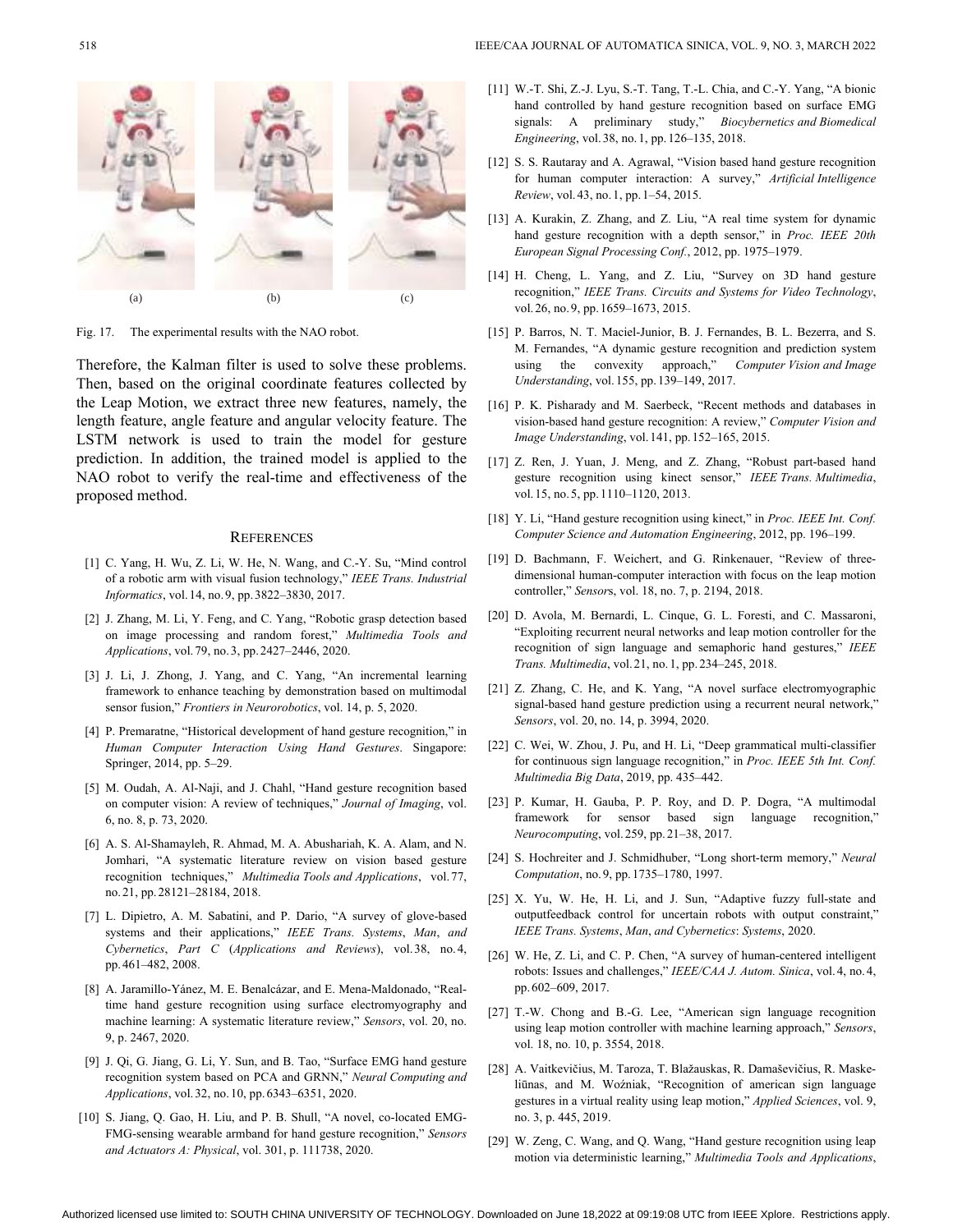

Fig. 17. The experimental results with the NAO robot.

Therefore, the Kalman filter is used to solve these problems. Then, based on the original coordinate features collected by the Leap Motion, we extract three new features, namely, the length feature, angle feature and angular velocity feature. The LSTM network is used to train the model for gesture prediction. In addition, the trained model is applied to the NAO robot to verify the real-time and effectiveness of the proposed method.

#### **REFERENCES**

- [1] C. Yang, H. Wu, Z. Li, W. He, N. Wang, and C.-Y. Su, "Mind control of a robotic arm with visual fusion technology," *IEEE Trans. Industrial Informatics*, vol.14, no.9, pp.3822–3830, 2017.
- [2] J. Zhang, M. Li, Y. Feng, and C. Yang, "Robotic grasp detection based on image processing and random forest," *Multimedia Tools and Applications*, vol.79, no.3, pp.2427–2446, 2020.
- [3] J. Li, J. Zhong, J. Yang, and C. Yang, "An incremental learning framework to enhance teaching by demonstration based on multimodal sensor fusion," *Frontiers in Neurorobotics*, vol. 14, p. 5, 2020.
- [4] P. Premaratne, "Historical development of hand gesture recognition," in *Human Computer Interaction Using Hand Gestures*. Singapore: Springer, 2014, pp. 5–29.
- [5] M. Oudah, A. Al-Naji, and J. Chahl, "Hand gesture recognition based on computer vision: A review of techniques," *Journal of Imaging*, vol. 6, no. 8, p. 73, 2020.
- [6] A. S. Al-Shamayleh, R. Ahmad, M. A. Abushariah, K. A. Alam, and N. Jomhari, "A systematic literature review on vision based gesture recognition techniques," *Multimedia Tools and Applications*, vol.77, no.21, pp.28121–28184, 2018.
- [7] L. Dipietro, A. M. Sabatini, and P. Dario, "A survey of glove-based systems and their applications," *IEEE Trans. Systems*, *Man*, *and Cybernetics*, *Part C* (*Applications and Reviews*), vol.38, no. 4, pp.461–482, 2008.
- A. Jaramillo-Yánez, M. E. Benalcázar, and E. Mena-Maldonado, "Real-[8] time hand gesture recognition using surface electromyography and machine learning: A systematic literature review," *Sensors*, vol. 20, no. 9, p. 2467, 2020.
- [9] J. Qi, G. Jiang, G. Li, Y. Sun, and B. Tao, "Surface EMG hand gesture recognition system based on PCA and GRNN," *Neural Computing and Applications*, vol.32, no.10, pp.6343–6351, 2020.
- [10] S. Jiang, Q. Gao, H. Liu, and P. B. Shull, "A novel, co-located EMG-FMG-sensing wearable armband for hand gesture recognition," *Sensors and Actuators A: Physical*, vol. 301, p. 111738, 2020.
- W.-T. Shi, Z.-J. Lyu, S.-T. Tang, T.-L. Chia, and C.-Y. Yang, "A bionic [11] hand controlled by hand gesture recognition based on surface EMG signals: A preliminary study," *Biocybernetics and Biomedical Engineering*, vol. 38, no.1, pp.126–135, 2018.
- [12] S. S. Rautaray and A. Agrawal, "Vision based hand gesture recognition for human computer interaction: A survey," *Artificial Intelligence Review*, vol.43, no.1, pp.1–54, 2015.
- [13] A. Kurakin, Z. Zhang, and Z. Liu, "A real time system for dynamic hand gesture recognition with a depth sensor," in *Proc. IEEE 20th European Signal Processing Conf.*, 2012, pp. 1975–1979.
- [14] H. Cheng, L. Yang, and Z. Liu, "Survey on 3D hand gesture recognition," *IEEE Trans. Circuits and Systems for Video Technology*, vol.26, no.9, pp.1659–1673, 2015.
- [15] P. Barros, N. T. Maciel-Junior, B. J. Fernandes, B. L. Bezerra, and S. M. Fernandes, "A dynamic gesture recognition and prediction system using the convexity approach," *Computer Vision and Image Understanding*, vol.155, pp.139–149, 2017.
- [16] P. K. Pisharady and M. Saerbeck, "Recent methods and databases in vision-based hand gesture recognition: A review," *Computer Vision and Image Understanding*, vol.141, pp.152–165, 2015.
- [17] Z. Ren, J. Yuan, J. Meng, and Z. Zhang, "Robust part-based hand gesture recognition using kinect sensor," *IEEE Trans. Multimedia*, vol. 15, no. 5, pp. 1110–1120, 2013.
- [18] Y. Li, "Hand gesture recognition using kinect," in *Proc. IEEE Int. Conf. Computer Science and Automation Engineering*, 2012, pp. 196–199.
- [19] D. Bachmann, F. Weichert, and G. Rinkenauer, "Review of threedimensional human-computer interaction with focus on the leap motion controller," *Sensor*s, vol. 18, no. 7, p. 2194, 2018.
- [20] D. Avola, M. Bernardi, L. Cinque, G. L. Foresti, and C. Massaroni, "Exploiting recurrent neural networks and leap motion controller for the recognition of sign language and semaphoric hand gestures," *IEEE Trans. Multimedia*, vol.21, no.1, pp.234–245, 2018.
- [21] Z. Zhang, C. He, and K. Yang, "A novel surface electromyographic signal-based hand gesture prediction using a recurrent neural network," *Sensors*, vol. 20, no. 14, p. 3994, 2020.
- [22] C. Wei, W. Zhou, J. Pu, and H. Li, "Deep grammatical multi-classifier for continuous sign language recognition," in *Proc. IEEE 5th Int. Conf. Multimedia Big Data*, 2019, pp. 435–442.
- [23] P. Kumar, H. Gauba, P. P. Roy, and D. P. Dogra, "A multimodal framework for sensor based sign language recognition," *Neurocomputing*, vol.259, pp.21–38, 2017.
- [24] S. Hochreiter and J. Schmidhuber, "Long short-term memory," *Neural Computation*, no.9, pp.1735–1780, 1997.
- [25] X. Yu, W. He, H. Li, and J. Sun, "Adaptive fuzzy full-state and outputfeedback control for uncertain robots with output constraint," *IEEE Trans. Systems*, *Man*, *and Cybernetics*: *Systems*, 2020.
- [26] W. He, Z. Li, and C. P. Chen, "A survey of human-centered intelligent robots: Issues and challenges," *IEEE/CAA J. Autom. Sinica*, vol. 4, no.4, pp. 602–609, 2017.
- [27] T.-W. Chong and B.-G. Lee, "American sign language recognition using leap motion controller with machine learning approach," *Sensors*, vol. 18, no. 10, p. 3554, 2018.
- [28] A. Vaitkevičius, M. Taroza, T. Blažauskas, R. Damaševičius, R. Maskeliūnas, and M. Woźniak, "Recognition of american sign language gestures in a virtual reality using leap motion," *Applied Sciences*, vol. 9, no. 3, p. 445, 2019.
- [29] W. Zeng, C. Wang, and Q. Wang, "Hand gesture recognition using leap motion via deterministic learning," *Multimedia Tools and Applications*,